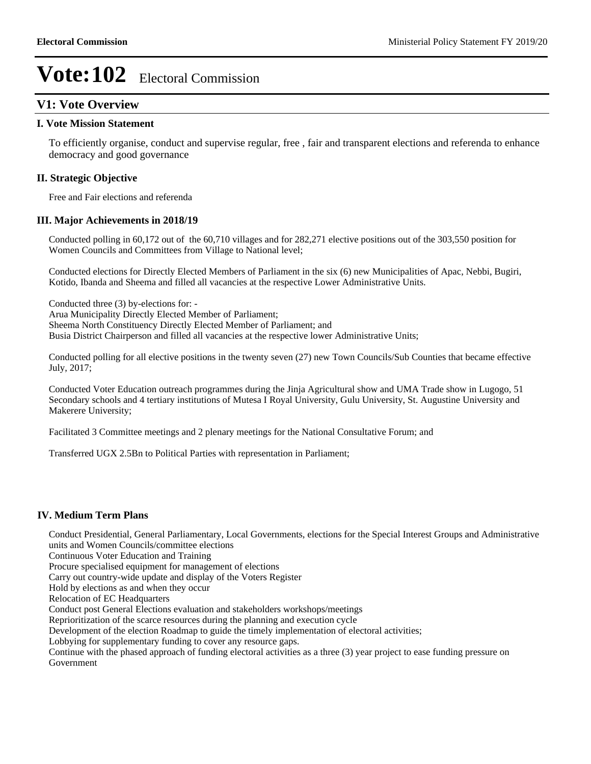## **V1: Vote Overview**

#### **I. Vote Mission Statement**

To efficiently organise, conduct and supervise regular, free , fair and transparent elections and referenda to enhance democracy and good governance

### **II. Strategic Objective**

Free and Fair elections and referenda

### **III. Major Achievements in 2018/19**

Conducted polling in 60,172 out of the 60,710 villages and for 282,271 elective positions out of the 303,550 position for Women Councils and Committees from Village to National level;

Conducted elections for Directly Elected Members of Parliament in the six (6) new Municipalities of Apac, Nebbi, Bugiri, Kotido, Ibanda and Sheema and filled all vacancies at the respective Lower Administrative Units.

Conducted three (3) by-elections for: - Arua Municipality Directly Elected Member of Parliament; Sheema North Constituency Directly Elected Member of Parliament; and Busia District Chairperson and filled all vacancies at the respective lower Administrative Units;

Conducted polling for all elective positions in the twenty seven (27) new Town Councils/Sub Counties that became effective July, 2017;

Conducted Voter Education outreach programmes during the Jinja Agricultural show and UMA Trade show in Lugogo, 51 Secondary schools and 4 tertiary institutions of Mutesa I Royal University, Gulu University, St. Augustine University and Makerere University;

Facilitated 3 Committee meetings and 2 plenary meetings for the National Consultative Forum; and

Transferred UGX 2.5Bn to Political Parties with representation in Parliament;

### **IV. Medium Term Plans**

Conduct Presidential, General Parliamentary, Local Governments, elections for the Special Interest Groups and Administrative units and Women Councils/committee elections

Continuous Voter Education and Training

Procure specialised equipment for management of elections

Carry out country-wide update and display of the Voters Register

Hold by elections as and when they occur

Relocation of EC Headquarters

Conduct post General Elections evaluation and stakeholders workshops/meetings

Reprioritization of the scarce resources during the planning and execution cycle

Development of the election Roadmap to guide the timely implementation of electoral activities;

Lobbying for supplementary funding to cover any resource gaps.

Continue with the phased approach of funding electoral activities as a three (3) year project to ease funding pressure on Government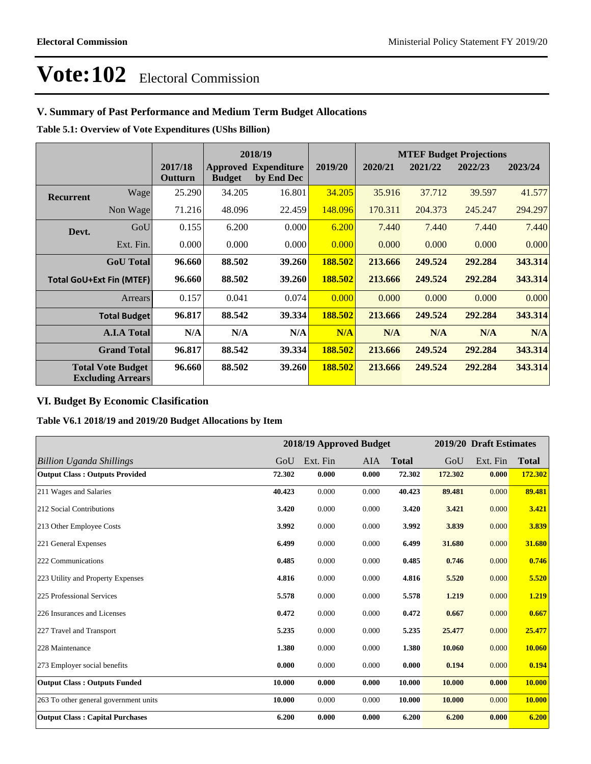## **V. Summary of Past Performance and Medium Term Budget Allocations**

**Table 5.1: Overview of Vote Expenditures (UShs Billion)**

|                  |                                                      |                    |               | 2018/19                                   |         |         |         | <b>MTEF Budget Projections</b> |         |
|------------------|------------------------------------------------------|--------------------|---------------|-------------------------------------------|---------|---------|---------|--------------------------------|---------|
|                  |                                                      | 2017/18<br>Outturn | <b>Budget</b> | <b>Approved Expenditure</b><br>by End Dec | 2019/20 | 2020/21 | 2021/22 | 2022/23                        | 2023/24 |
| <b>Recurrent</b> | Wagel                                                | 25.290             | 34.205        | 16.801                                    | 34.205  | 35.916  | 37.712  | 39.597                         | 41.577  |
|                  | Non Wage                                             | 71.216             | 48.096        | 22.459                                    | 148.096 | 170.311 | 204.373 | 245.247                        | 294.297 |
| Devt.            | GoU                                                  | 0.155              | 6.200         | 0.000                                     | 6.200   | 7.440   | 7.440   | 7.440                          | 7.440   |
|                  | Ext. Fin.                                            | 0.000              | 0.000         | 0.000                                     | 0.000   | 0.000   | 0.000   | 0.000                          | 0.000   |
|                  | <b>GoU</b> Total                                     | 96.660             | 88.502        | 39.260                                    | 188.502 | 213.666 | 249.524 | 292.284                        | 343.314 |
|                  | <b>Total GoU+Ext Fin (MTEF)</b>                      | 96.660             | 88.502        | 39.260                                    | 188.502 | 213.666 | 249.524 | 292.284                        | 343.314 |
|                  | Arrears                                              | 0.157              | 0.041         | 0.074                                     | 0.000   | 0.000   | 0.000   | 0.000                          | 0.000   |
|                  | <b>Total Budget</b>                                  | 96.817             | 88.542        | 39.334                                    | 188.502 | 213.666 | 249.524 | 292.284                        | 343.314 |
|                  | <b>A.I.A Total</b>                                   | N/A                | N/A           | N/A                                       | N/A     | N/A     | N/A     | N/A                            | N/A     |
|                  | <b>Grand Total</b>                                   | 96.817             | 88.542        | 39.334                                    | 188.502 | 213.666 | 249.524 | 292.284                        | 343.314 |
|                  | <b>Total Vote Budget</b><br><b>Excluding Arrears</b> | 96.660             | 88.502        | 39.260                                    | 188.502 | 213.666 | 249.524 | 292.284                        | 343.314 |

## **VI. Budget By Economic Clasification**

**Table V6.1 2018/19 and 2019/20 Budget Allocations by Item**

|                                        |        |          | 2018/19 Approved Budget |              |         | 2019/20 Draft Estimates |              |
|----------------------------------------|--------|----------|-------------------------|--------------|---------|-------------------------|--------------|
| Billion Uganda Shillings               | GoU    | Ext. Fin | <b>AIA</b>              | <b>Total</b> | GoU     | Ext. Fin                | <b>Total</b> |
| <b>Output Class: Outputs Provided</b>  | 72.302 | 0.000    | 0.000                   | 72.302       | 172.302 | 0.000                   | 172.302      |
| 211 Wages and Salaries                 | 40.423 | 0.000    | 0.000                   | 40.423       | 89.481  | 0.000                   | 89.481       |
| 212 Social Contributions               | 3.420  | 0.000    | 0.000                   | 3.420        | 3.421   | 0.000                   | 3.421        |
| 213 Other Employee Costs               | 3.992  | 0.000    | 0.000                   | 3.992        | 3.839   | 0.000                   | 3.839        |
| 221 General Expenses                   | 6.499  | 0.000    | 0.000                   | 6.499        | 31.680  | 0.000                   | 31.680       |
| 222 Communications                     | 0.485  | 0.000    | 0.000                   | 0.485        | 0.746   | 0.000                   | 0.746        |
| 223 Utility and Property Expenses      | 4.816  | 0.000    | 0.000                   | 4.816        | 5.520   | 0.000                   | 5.520        |
| 225 Professional Services              | 5.578  | 0.000    | 0.000                   | 5.578        | 1.219   | 0.000                   | 1.219        |
| 226 Insurances and Licenses            | 0.472  | 0.000    | 0.000                   | 0.472        | 0.667   | 0.000                   | 0.667        |
| 227 Travel and Transport               | 5.235  | 0.000    | 0.000                   | 5.235        | 25,477  | 0.000                   | 25.477       |
| 228 Maintenance                        | 1.380  | 0.000    | 0.000                   | 1.380        | 10.060  | 0.000                   | 10.060       |
| 273 Employer social benefits           | 0.000  | 0.000    | 0.000                   | 0.000        | 0.194   | 0.000                   | 0.194        |
| <b>Output Class: Outputs Funded</b>    | 10.000 | 0.000    | 0.000                   | 10.000       | 10.000  | 0.000                   | 10.000       |
| 263 To other general government units  | 10.000 | 0.000    | 0.000                   | 10.000       | 10.000  | 0.000                   | 10.000       |
| <b>Output Class: Capital Purchases</b> | 6.200  | 0.000    | 0.000                   | 6.200        | 6.200   | 0.000                   | 6.200        |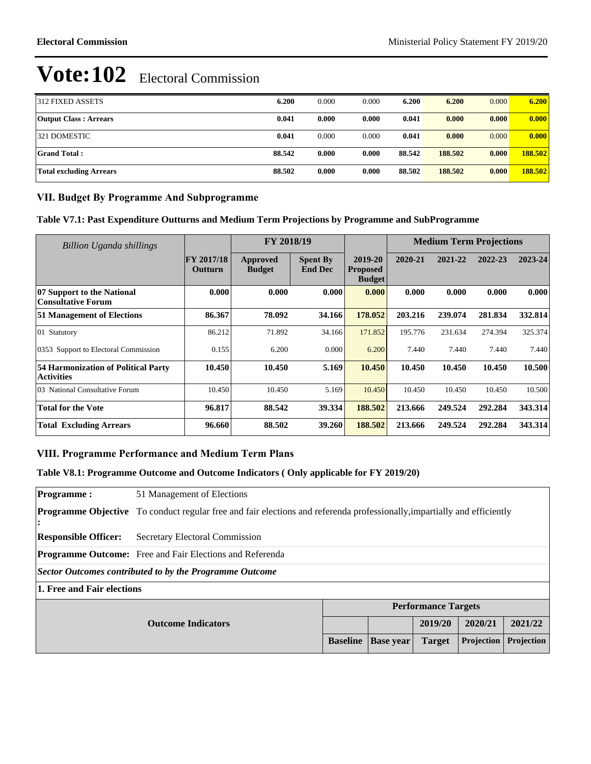| 312 FIXED ASSETS             | 6.200  | 0.000 | 0.000 | 6.200  | 6.200   | 0.000 | 6.200   |
|------------------------------|--------|-------|-------|--------|---------|-------|---------|
| <b>Output Class: Arrears</b> | 0.041  | 0.000 | 0.000 | 0.041  | 0.000   | 0.000 | 0.000   |
| 321 DOMESTIC                 | 0.041  | 0.000 | 0.000 | 0.041  | 0.000   | 0.000 | 0.000   |
| Grand Total :                | 88.542 | 0.000 | 0.000 | 88.542 | 188.502 | 0.000 | 188.502 |
| Total excluding Arrears      | 88.502 | 0.000 | 0.000 | 88.502 | 188.502 | 0.000 | 188.502 |

## **VII. Budget By Programme And Subprogramme**

**Table V7.1: Past Expenditure Outturns and Medium Term Projections by Programme and SubProgramme**

| <b>Billion Uganda shillings</b>                                 |                              | FY 2018/19                |                                   |                                             | <b>Medium Term Projections</b> |         |         |         |
|-----------------------------------------------------------------|------------------------------|---------------------------|-----------------------------------|---------------------------------------------|--------------------------------|---------|---------|---------|
|                                                                 | <b>FY 2017/18</b><br>Outturn | Approved<br><b>Budget</b> | <b>Spent By</b><br><b>End Dec</b> | 2019-20<br><b>Proposed</b><br><b>Budget</b> | 2020-21                        | 2021-22 | 2022-23 | 2023-24 |
| 07 Support to the National<br><b>Consultative Forum</b>         | 0.000                        | 0.000                     | 0.000                             | 0.000                                       | 0.000                          | 0.000   | 0.000   | 0.000   |
| <b>51 Management of Elections</b>                               | 86.367                       | 78.092                    | 34.166                            | 178.052                                     | 203.216                        | 239.074 | 281.834 | 332.814 |
| 01 Statutory                                                    | 86.212                       | 71.892                    | 34.166                            | 171.852                                     | 195.776                        | 231.634 | 274.394 | 325.374 |
| 0353 Support to Electoral Commission                            | 0.155                        | 6.200                     | 0.000                             | 6.200                                       | 7.440                          | 7.440   | 7.440   | 7.440   |
| <b>54 Harmonization of Political Party</b><br><b>Activities</b> | 10.450                       | 10.450                    | 5.169                             | 10.450                                      | 10.450                         | 10.450  | 10.450  | 10.500  |
| 03 National Consultative Forum                                  | 10.450                       | 10.450                    | 5.169                             | 10.450                                      | 10.450                         | 10.450  | 10.450  | 10.500  |
| Total for the Vote                                              | 96.817                       | 88.542                    | 39.334                            | 188.502                                     | 213.666                        | 249.524 | 292.284 | 343.314 |
| <b>Total Excluding Arrears</b>                                  | 96.660                       | 88.502                    | 39.260                            | 188.502                                     | 213.666                        | 249.524 | 292.284 | 343.314 |

## **VIII. Programme Performance and Medium Term Plans**

## **Table V8.1: Programme Outcome and Outcome Indicators ( Only applicable for FY 2019/20)**

| <b>Programme:</b>                                       | 51 Management of Elections                                                                                                      |  |  |                            |         |         |  |
|---------------------------------------------------------|---------------------------------------------------------------------------------------------------------------------------------|--|--|----------------------------|---------|---------|--|
|                                                         | <b>Programme Objective</b> To conduct regular free and fair elections and referenda professionally, impartially and efficiently |  |  |                            |         |         |  |
| <b>Responsible Officer:</b>                             | Secretary Electoral Commission                                                                                                  |  |  |                            |         |         |  |
|                                                         | <b>Programme Outcome:</b> Free and Fair Elections and Referenda                                                                 |  |  |                            |         |         |  |
| Sector Outcomes contributed to by the Programme Outcome |                                                                                                                                 |  |  |                            |         |         |  |
| 1. Free and Fair elections                              |                                                                                                                                 |  |  |                            |         |         |  |
|                                                         |                                                                                                                                 |  |  | <b>Performance Targets</b> |         |         |  |
|                                                         | <b>Outcome Indicators</b>                                                                                                       |  |  | 2019/20                    | 2020/21 | 2021/22 |  |
|                                                         | <b>Projection</b><br>Projection<br><b>Baseline</b><br><b>Base year</b><br><b>Target</b>                                         |  |  |                            |         |         |  |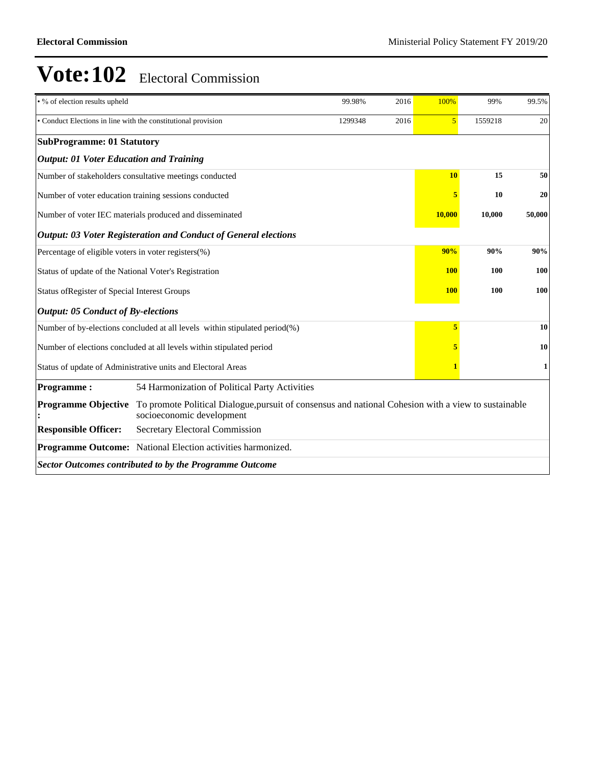| • % of election results upheld                                |                                                                                                                                   | 99.98%     | 2016 | 100%           | 99%     | 99.5%  |  |
|---------------------------------------------------------------|-----------------------------------------------------------------------------------------------------------------------------------|------------|------|----------------|---------|--------|--|
| • Conduct Elections in line with the constitutional provision |                                                                                                                                   | 1299348    | 2016 | $\overline{5}$ | 1559218 | 20     |  |
| <b>SubProgramme: 01 Statutory</b>                             |                                                                                                                                   |            |      |                |         |        |  |
| <b>Output: 01 Voter Education and Training</b>                |                                                                                                                                   |            |      |                |         |        |  |
|                                                               | Number of stakeholders consultative meetings conducted                                                                            |            |      | <b>10</b>      | 15      | 50     |  |
|                                                               | Number of voter education training sessions conducted                                                                             |            |      | 5              | 10      | 20     |  |
|                                                               | Number of voter IEC materials produced and disseminated                                                                           |            |      | 10,000         | 10,000  | 50,000 |  |
|                                                               | <b>Output: 03 Voter Registeration and Conduct of General elections</b>                                                            |            |      |                |         |        |  |
| Percentage of eligible voters in voter registers(%)           |                                                                                                                                   |            |      | 90%            | 90%     | 90%    |  |
| Status of update of the National Voter's Registration         |                                                                                                                                   |            |      |                | 100     | 100    |  |
| Status of Register of Special Interest Groups                 |                                                                                                                                   | <b>100</b> | 100  | 100            |         |        |  |
| <b>Output: 05 Conduct of By-elections</b>                     |                                                                                                                                   |            |      |                |         |        |  |
|                                                               | Number of by-elections concluded at all levels within stipulated period(%)                                                        |            |      | 5              |         | 10     |  |
|                                                               | Number of elections concluded at all levels within stipulated period                                                              |            |      |                |         | 10     |  |
|                                                               | Status of update of Administrative units and Electoral Areas                                                                      |            |      |                |         | 1      |  |
| <b>Programme:</b>                                             | 54 Harmonization of Political Party Activities                                                                                    |            |      |                |         |        |  |
| <b>Programme Objective</b>                                    | To promote Political Dialogue, pursuit of consensus and national Cohesion with a view to sustainable<br>socioeconomic development |            |      |                |         |        |  |
| <b>Responsible Officer:</b>                                   | Secretary Electoral Commission                                                                                                    |            |      |                |         |        |  |
|                                                               | Programme Outcome: National Election activities harmonized.                                                                       |            |      |                |         |        |  |
|                                                               | <b>Sector Outcomes contributed to by the Programme Outcome</b>                                                                    |            |      |                |         |        |  |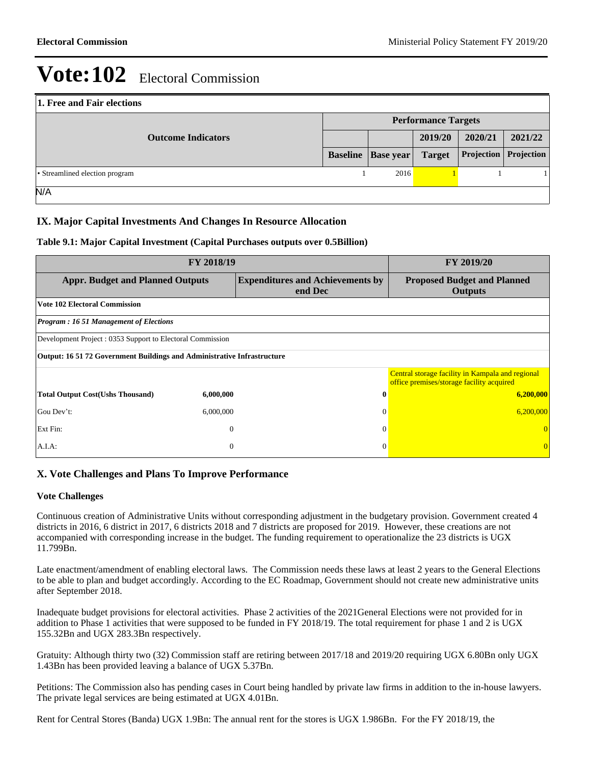| 1. Free and Fair elections     |                            |                             |               |            |            |  |  |  |
|--------------------------------|----------------------------|-----------------------------|---------------|------------|------------|--|--|--|
|                                | <b>Performance Targets</b> |                             |               |            |            |  |  |  |
| <b>Outcome Indicators</b>      |                            |                             | 2019/20       | 2020/21    | 2021/22    |  |  |  |
|                                |                            | <b>Baseline</b>   Base year | <b>Target</b> | Projection | Projection |  |  |  |
| • Streamlined election program |                            | 2016                        |               |            |            |  |  |  |
| N/A                            |                            |                             |               |            |            |  |  |  |

## **IX. Major Capital Investments And Changes In Resource Allocation**

### **Table 9.1: Major Capital Investment (Capital Purchases outputs over 0.5Billion)**

| FY 2018/19                                                              | FY 2019/20                                                                                    |          |                                                                                               |  |  |  |  |  |  |
|-------------------------------------------------------------------------|-----------------------------------------------------------------------------------------------|----------|-----------------------------------------------------------------------------------------------|--|--|--|--|--|--|
|                                                                         | <b>Appr. Budget and Planned Outputs</b><br><b>Expenditures and Achievements by</b><br>end Dec |          |                                                                                               |  |  |  |  |  |  |
| <b>Vote 102 Electoral Commission</b>                                    |                                                                                               |          |                                                                                               |  |  |  |  |  |  |
| <b>Program: 16 51 Management of Elections</b>                           |                                                                                               |          |                                                                                               |  |  |  |  |  |  |
| Development Project: 0353 Support to Electoral Commission               |                                                                                               |          |                                                                                               |  |  |  |  |  |  |
| Output: 16 51 72 Government Buildings and Administrative Infrastructure |                                                                                               |          |                                                                                               |  |  |  |  |  |  |
|                                                                         |                                                                                               |          | Central storage facility in Kampala and regional<br>office premises/storage facility acquired |  |  |  |  |  |  |
| <b>Total Output Cost(Ushs Thousand)</b>                                 | 6,000,000                                                                                     | 0        | 6,200,000                                                                                     |  |  |  |  |  |  |
| Gou Dev't:                                                              | 6,000,000                                                                                     | $\Omega$ | 6,200,000                                                                                     |  |  |  |  |  |  |
| Ext Fin:                                                                | $\mathbf{0}$                                                                                  | $\Omega$ |                                                                                               |  |  |  |  |  |  |
| A.I.A.                                                                  | $\theta$                                                                                      | $\theta$ |                                                                                               |  |  |  |  |  |  |

### **X. Vote Challenges and Plans To Improve Performance**

#### **Vote Challenges**

Continuous creation of Administrative Units without corresponding adjustment in the budgetary provision. Government created 4 districts in 2016, 6 district in 2017, 6 districts 2018 and 7 districts are proposed for 2019. However, these creations are not accompanied with corresponding increase in the budget. The funding requirement to operationalize the 23 districts is UGX 11.799Bn.

Late enactment/amendment of enabling electoral laws. The Commission needs these laws at least 2 years to the General Elections to be able to plan and budget accordingly. According to the EC Roadmap, Government should not create new administrative units after September 2018.

Inadequate budget provisions for electoral activities. Phase 2 activities of the 2021General Elections were not provided for in addition to Phase 1 activities that were supposed to be funded in FY 2018/19. The total requirement for phase 1 and 2 is UGX 155.32Bn and UGX 283.3Bn respectively.

Gratuity: Although thirty two (32) Commission staff are retiring between 2017/18 and 2019/20 requiring UGX 6.80Bn only UGX 1.43Bn has been provided leaving a balance of UGX 5.37Bn.

Petitions: The Commission also has pending cases in Court being handled by private law firms in addition to the in-house lawyers. The private legal services are being estimated at UGX 4.01Bn.

Rent for Central Stores (Banda) UGX 1.9Bn: The annual rent for the stores is UGX 1.986Bn. For the FY 2018/19, the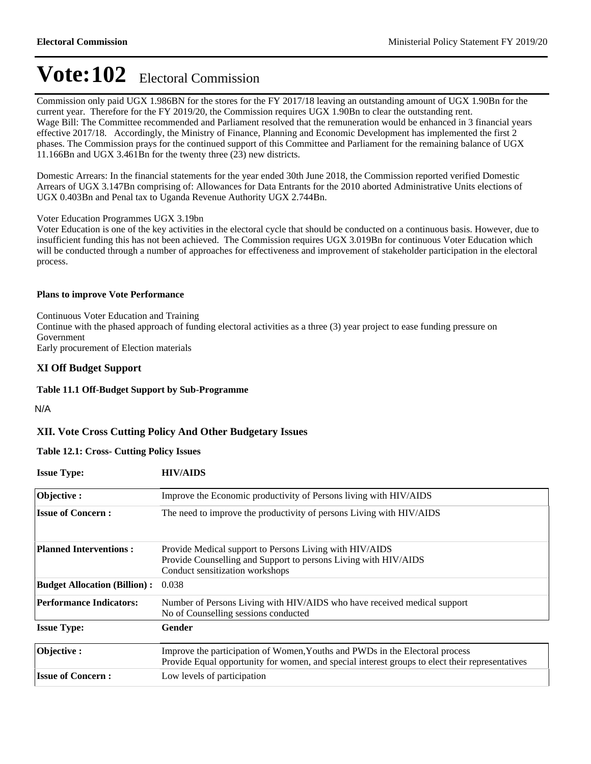Commission only paid UGX 1.986BN for the stores for the FY 2017/18 leaving an outstanding amount of UGX 1.90Bn for the current year. Therefore for the FY 2019/20, the Commission requires UGX 1.90Bn to clear the outstanding rent. Wage Bill: The Committee recommended and Parliament resolved that the remuneration would be enhanced in 3 financial years effective 2017/18. Accordingly, the Ministry of Finance, Planning and Economic Development has implemented the first 2 phases. The Commission prays for the continued support of this Committee and Parliament for the remaining balance of UGX 11.166Bn and UGX 3.461Bn for the twenty three (23) new districts.

Domestic Arrears: In the financial statements for the year ended 30th June 2018, the Commission reported verified Domestic Arrears of UGX 3.147Bn comprising of: Allowances for Data Entrants for the 2010 aborted Administrative Units elections of UGX 0.403Bn and Penal tax to Uganda Revenue Authority UGX 2.744Bn.

#### Voter Education Programmes UGX 3.19bn

Voter Education is one of the key activities in the electoral cycle that should be conducted on a continuous basis. However, due to insufficient funding this has not been achieved. The Commission requires UGX 3.019Bn for continuous Voter Education which will be conducted through a number of approaches for effectiveness and improvement of stakeholder participation in the electoral process.

#### **Plans to improve Vote Performance**

Continuous Voter Education and Training Continue with the phased approach of funding electoral activities as a three (3) year project to ease funding pressure on Government Early procurement of Election materials

### **XI Off Budget Support**

#### **Table 11.1 Off-Budget Support by Sub-Programme**

N/A

### **XII. Vote Cross Cutting Policy And Other Budgetary Issues**

#### **Table 12.1: Cross- Cutting Policy Issues**

| <b>Issue Type:</b>                  | <b>HIV/AIDS</b>                                                                                                                                                                 |
|-------------------------------------|---------------------------------------------------------------------------------------------------------------------------------------------------------------------------------|
| Objective:                          | Improve the Economic productivity of Persons living with HIV/AIDS                                                                                                               |
| <b>Issue of Concern:</b>            | The need to improve the productivity of persons Living with HIV/AIDS                                                                                                            |
| <b>Planned Interventions:</b>       | Provide Medical support to Persons Living with HIV/AIDS<br>Provide Counselling and Support to persons Living with HIV/AIDS<br>Conduct sensitization workshops                   |
| <b>Budget Allocation (Billion):</b> | 0.038                                                                                                                                                                           |
| <b>Performance Indicators:</b>      | Number of Persons Living with HIV/AIDS who have received medical support<br>No of Counselling sessions conducted                                                                |
| <b>Issue Type:</b>                  | Gender                                                                                                                                                                          |
| Objective:                          | Improve the participation of Women, Youths and PWDs in the Electoral process<br>Provide Equal opportunity for women, and special interest groups to elect their representatives |
| <b>Issue of Concern:</b>            | Low levels of participation                                                                                                                                                     |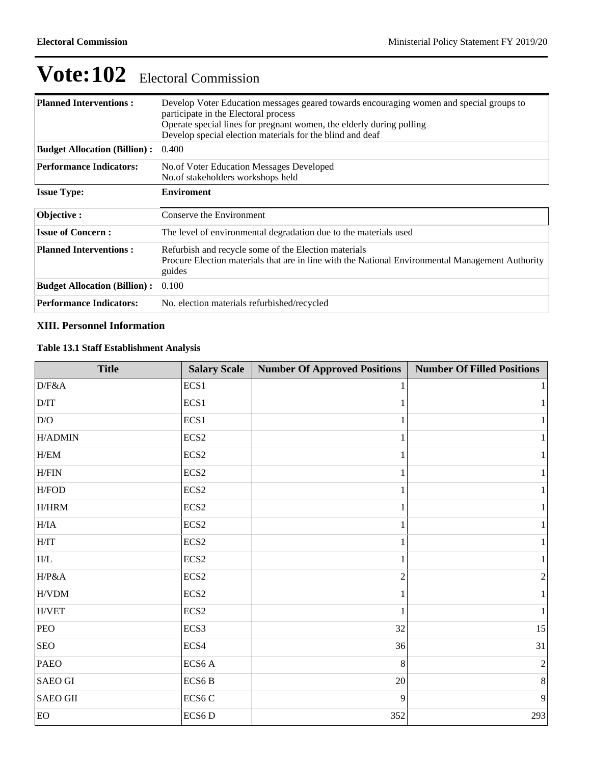| <b>Planned Interventions:</b>       | Develop Voter Education messages geared towards encouraging women and special groups to<br>participate in the Electoral process<br>Operate special lines for pregnant women, the elderly during polling<br>Develop special election materials for the blind and deaf |
|-------------------------------------|----------------------------------------------------------------------------------------------------------------------------------------------------------------------------------------------------------------------------------------------------------------------|
| <b>Budget Allocation (Billion):</b> | 0.400                                                                                                                                                                                                                                                                |
| <b>Performance Indicators:</b>      | No. of Voter Education Messages Developed<br>No.of stakeholders workshops held                                                                                                                                                                                       |
| <b>Issue Type:</b>                  | <b>Enviroment</b>                                                                                                                                                                                                                                                    |
| Objective:                          | Conserve the Environment                                                                                                                                                                                                                                             |
| <b>Issue of Concern:</b>            | The level of environmental degradation due to the materials used                                                                                                                                                                                                     |
| <b>Planned Interventions:</b>       | Refurbish and recycle some of the Election materials<br>Procure Election materials that are in line with the National Environmental Management Authority<br>guides                                                                                                   |
| <b>Budget Allocation (Billion):</b> | 0.100                                                                                                                                                                                                                                                                |
| <b>Performance Indicators:</b>      | No. election materials refurbished/recycled                                                                                                                                                                                                                          |

## **XIII. Personnel Information**

## **Table 13.1 Staff Establishment Analysis**

| <b>Title</b>              | <b>Salary Scale</b> | <b>Number Of Approved Positions</b> | <b>Number Of Filled Positions</b> |
|---------------------------|---------------------|-------------------------------------|-----------------------------------|
| $D/F\&A$                  | ECS1                |                                     | $1\vert$                          |
| $\rm{D/IT}$               | ECS1                |                                     | $1\vert$                          |
| $\mathrm{D/O}$            | ECS <sub>1</sub>    |                                     | $1\vert$                          |
| $H/ADMIN$                 | ECS <sub>2</sub>    |                                     | $1\vert$                          |
| ${\rm H/EM}$              | ECS <sub>2</sub>    |                                     | $1\vert$                          |
| ${\rm H}/{\rm FIN}$       | ECS <sub>2</sub>    |                                     | $1\vert$                          |
| H/FOD                     | ECS <sub>2</sub>    |                                     | $1\vert$                          |
| $\rm H/HRM$               | ECS <sub>2</sub>    |                                     | $1\vert$                          |
| H/IA                      | ECS <sub>2</sub>    |                                     | $1\vert$                          |
| H/IT                      | ECS <sub>2</sub>    |                                     | $1\vert$                          |
| $\ensuremath{\text{H/L}}$ | ECS <sub>2</sub>    | 1                                   | $1\vert$                          |
| H/P&A                     | ECS <sub>2</sub>    | $\overline{2}$                      | $\overline{2}$                    |
| $\mbox{H/VDM}$            | ECS <sub>2</sub>    |                                     | $1\vert$                          |
| ${\rm H/VET}$             | ECS <sub>2</sub>    |                                     | $1\vert$                          |
| PEO                       | ECS3                | 32                                  | 15                                |
| <b>SEO</b>                | ECS4                | 36                                  | 31                                |
| <b>PAEO</b>               | ECS <sub>6</sub> A  | 8                                   | $\overline{2}$                    |
| <b>SAEO GI</b>            | ECS6 <sub>B</sub>   | $20\,$                              | 8 <sup>1</sup>                    |
| <b>SAEO GII</b>           | ECS6 <sub>C</sub>   | 9                                   | $\overline{9}$                    |
| EO                        | ECS6D               | 352                                 | 293                               |